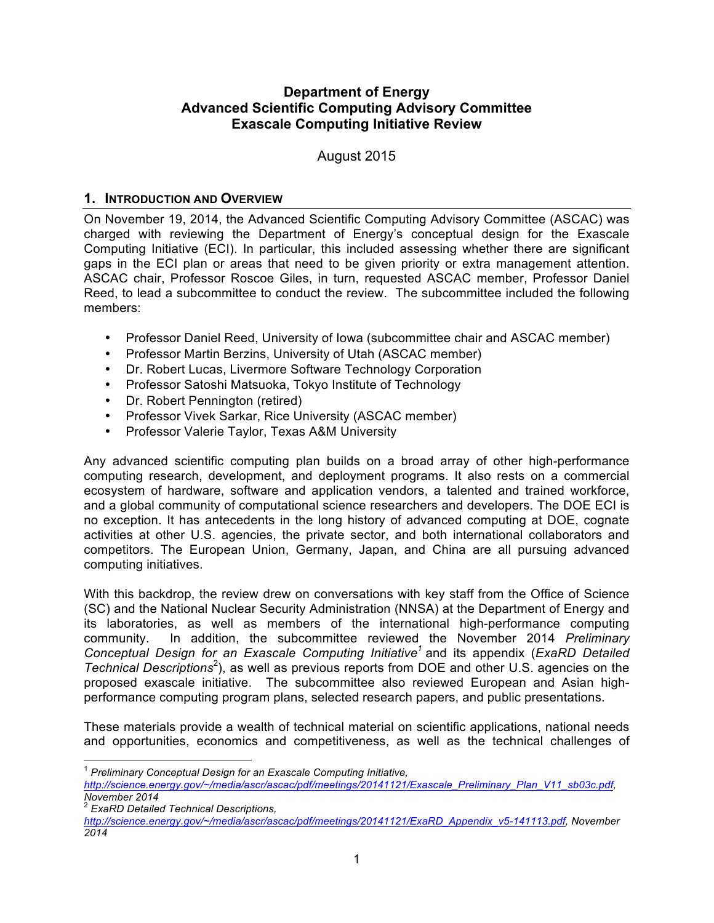### **Advanced Scientific Computing Advisory Committee Exascale Computing Initiative Review Department of Energy**

August 2015

#### **1. INTRODUCTION AND OVERVIEW**

 On November 19, 2014, the Advanced Scientific Computing Advisory Committee (ASCAC) was charged with reviewing the Department of Energy's conceptual design for the Exascale Computing Initiative (ECI). In particular, this included assessing whether there are significant gaps in the ECI plan or areas that need to be given priority or extra management attention. ASCAC chair, Professor Roscoe Giles, in turn, requested ASCAC member, Professor Daniel Reed, to lead a subcommittee to conduct the review. The subcommittee included the following members:

- Professor Daniel Reed, University of Iowa (subcommittee chair and ASCAC member)
- Professor Martin Berzins, University of Utah (ASCAC member)
- Dr. Robert Lucas, Livermore Software Technology Corporation
- Professor Satoshi Matsuoka, Tokyo Institute of Technology
- Dr. Robert Pennington (retired)
- Professor Vivek Sarkar, Rice University (ASCAC member)
- Professor Valerie Taylor, Texas A&M University

 Any advanced scientific computing plan builds on a broad array of other high-performance computing research, development, and deployment programs. It also rests on a commercial ecosystem of hardware, software and application vendors, a talented and trained workforce, and a global community of computational science researchers and developers. The DOE ECI is no exception. It has antecedents in the long history of advanced computing at DOE, cognate activities at other U.S. agencies, the private sector, and both international collaborators and competitors. The European Union, Germany, Japan, and China are all pursuing advanced computing initiatives.

computing initiatives.<br>With this backdrop, the review drew on conversations with key staff from the Office of Science (SC) and the National Nuclear Security Administration (NNSA) at the Department of Energy and its laboratories, as well as members of the international high-performance computing community.  *Conceptual Design for an Exascale Computing Initiative<sup>1</sup>*and its appendix (*ExaRD Detailed*  Technical Descriptions<sup>2</sup>), as well as previous reports from DOE and other U.S. agencies on the proposed exascale initiative. The subcommittee also reviewed European and Asian high- performance computing program plans, selected research papers, and public presentations. In addition, the subcommittee reviewed the November 2014 *Preliminary* 

 These materials provide a wealth of technical material on scientific applications, national needs and opportunities, economics and competitiveness, as well as the technical challenges of

 <sup>2</sup>*ExaRD Detailed Technical Descriptions,* 

 $\overline{1}$ <sup>1</sup>*Preliminary Conceptual Design for an Exascale Computing Initiative,* 

*[http://science.energy.gov/~/media/ascr/ascac/pdf/meetings/20141121/Exascale\\_Preliminary\\_Plan\\_V11\\_sb03c.pdf](http://science.energy.gov/~/media/ascr/ascac/pdf/meetings/20141121/Exascale_Preliminary_Plan_V11_sb03c.pdf), November 2014* 

*[http://science.energy.gov/~/media/ascr/ascac/pdf/meetings/20141121/ExaRD\\_Appendix\\_v5-141113.pdf](http://science.energy.gov/~/media/ascr/ascac/pdf/meetings/20141121/ExaRD_Appendix_v5-141113.pdf), November 2014*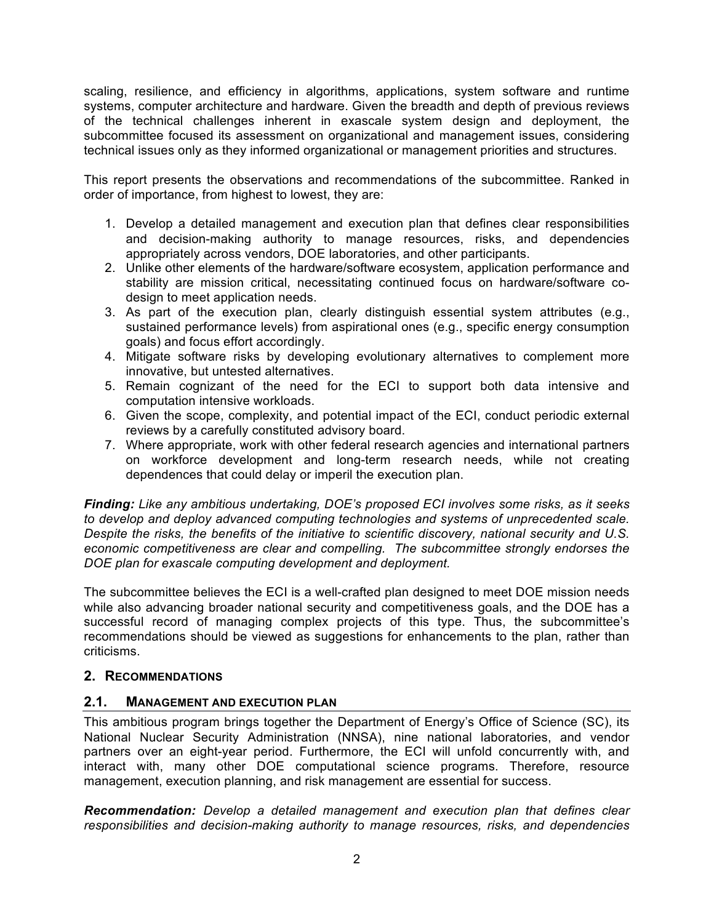scaling, resilience, and efficiency in algorithms, applications, system software and runtime systems, computer architecture and hardware. Given the breadth and depth of previous reviews of the technical challenges inherent in exascale system design and deployment, the technical issues only as they informed organizational or management priorities and structures. subcommittee focused its assessment on organizational and management issues, considering

technical issues only as they informed organizational or management priorities and structures.<br>This report presents the observations and recommendations of the subcommittee. Ranked in order of importance, from highest to lowest, they are:

- 1. Develop a detailed management and execution plan that defines clear responsibilities and decision-making authority to manage resources, risks, and dependencies appropriately across vendors, DOE laboratories, and other participants.
- 2. Unlike other elements of the hardware/software ecosystem, application performance and stability are mission critical, necessitating continued focus on hardware/software codesign to meet application needs.
- 3. As part of the execution plan, clearly distinguish essential system attributes (e.g., sustained performance levels) from aspirational ones (e.g., specific energy consumption goals) and focus effort accordingly.
- 4. Mitigate software risks by developing evolutionary alternatives to complement more innovative, but untested alternatives.
- 5. Remain cognizant of the need for the ECI to support both data intensive and computation intensive workloads.
- 6. Given the scope, complexity, and potential impact of the ECI, conduct periodic external reviews by a carefully constituted advisory board.
- 7. Where appropriate, work with other federal research agencies and international partners on workforce development and long-term research needs, while not creating dependences that could delay or imperil the execution plan.

 *Finding: Like any ambitious undertaking, DOE's proposed ECI involves some risks, as it seeks to develop and deploy advanced computing technologies and systems of unprecedented scale. Despite the risks, the benefits of the initiative to scientific discovery, national security and U.S. economic competitiveness are clear and compelling. The subcommittee strongly endorses the DOE plan for exascale computing development and deployment.* 

 The subcommittee believes the ECI is a well-crafted plan designed to meet DOE mission needs while also advancing broader national security and competitiveness goals, and the DOE has a successful record of managing complex projects of this type. Thus, the subcommittee's recommendations should be viewed as suggestions for enhancements to the plan, rather than criticisms.

# **2. RECOMMENDATIONS**

# **2.1. MANAGEMENT AND EXECUTION PLAN**

 This ambitious program brings together the Department of Energy's Office of Science (SC), its National Nuclear Security Administration (NNSA), nine national laboratories, and vendor partners over an eight-year period. Furthermore, the ECI will unfold concurrently with, and interact with, many other DOE computational science programs. Therefore, resource management, execution planning, and risk management are essential for success.

 *Recommendation: Develop a detailed management and execution plan that defines clear responsibilities and decision-making authority to manage resources, risks, and dependencies*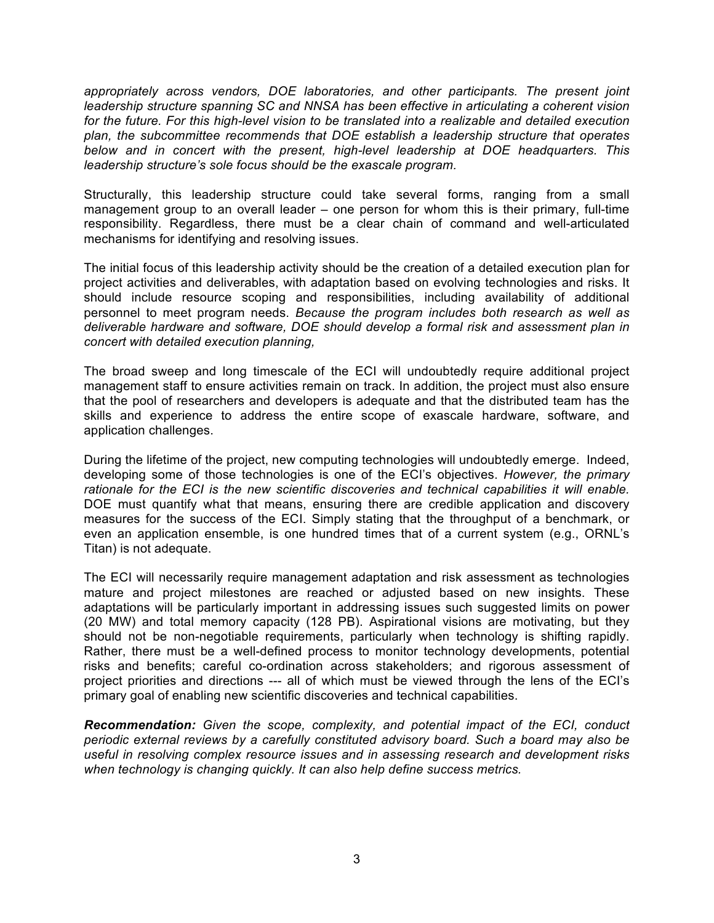appropriately across vendors, DOE laboratories, and other participants. The present joint leadership structure spanning SC and NNSA has been effective in articulating a coherent vision for the future. For this high-level vision to be translated into a realizable and detailed execution  *plan, the subcommittee recommends that DOE establish a leadership structure that operates*  below and in concert with the present, high-level leadership at DOE headquarters. This  *leadership structure's sole focus should be the exascale program.* 

 Structurally, this leadership structure could take several forms, ranging from a small management group to an overall leader – one person for whom this is their primary, full-time responsibility. Regardless, there must be a clear chain of command and well-articulated mechanisms for identifying and resolving issues.

 The initial focus of this leadership activity should be the creation of a detailed execution plan for project activities and deliverables, with adaptation based on evolving technologies and risks. It should include resource scoping and responsibilities, including availability of additional personnel to meet program needs. *Because the program includes both research as well as deliverable hardware and software, DOE should develop a formal risk and assessment plan in concert with detailed execution planning,* 

 The broad sweep and long timescale of the ECI will undoubtedly require additional project management staff to ensure activities remain on track. In addition, the project must also ensure that the pool of researchers and developers is adequate and that the distributed team has the skills and experience to address the entire scope of exascale hardware, software, and application challenges.

 During the lifetime of the project, new computing technologies will undoubtedly emerge. Indeed, developing some of those technologies is one of the ECI's objectives. *However, the primary rationale for the ECI is the new scientific discoveries and technical capabilities it will enable.*  DOE must quantify what that means, ensuring there are credible application and discovery measures for the success of the ECI. Simply stating that the throughput of a benchmark, or even an application ensemble, is one hundred times that of a current system (e.g., ORNL's Titan) is not adequate.

 The ECI will necessarily require management adaptation and risk assessment as technologies mature and project milestones are reached or adjusted based on new insights. These adaptations will be particularly important in addressing issues such suggested limits on power (20 MW) and total memory capacity (128 PB). Aspirational visions are motivating, but they should not be non-negotiable requirements, particularly when technology is shifting rapidly. Rather, there must be a well-defined process to monitor technology developments, potential risks and benefits; careful co-ordination across stakeholders; and rigorous assessment of project priorities and directions --- all of which must be viewed through the lens of the ECI's primary goal of enabling new scientific discoveries and technical capabilities.

 *Recommendation: Given the scope, complexity, and potential impact of the ECI, conduct periodic external reviews by a carefully constituted advisory board. Such a board may also be useful in resolving complex resource issues and in assessing research and development risks when technology is changing quickly. It can also help define success metrics.*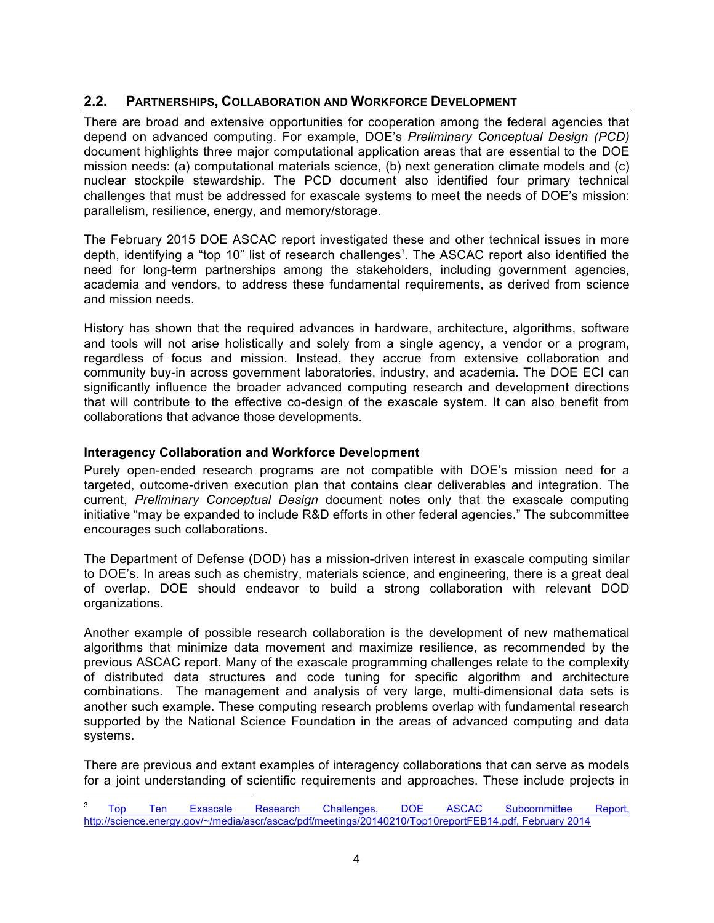# **2.2. PARTNERSHIPS, COLLABORATION AND WORKFORCE DEVELOPMENT**

 There are broad and extensive opportunities for cooperation among the federal agencies that depend on advanced computing. For example, DOE's *Preliminary Conceptual Design (PCD)*  document highlights three major computational application areas that are essential to the DOE mission needs: (a) computational materials science, (b) next generation climate models and (c) nuclear stockpile stewardship. The PCD document also identified four primary technical challenges that must be addressed for exascale systems to meet the needs of DOE's mission: parallelism, resilience, energy, and memory/storage.

 The February 2015 DOE ASCAC report investigated these and other technical issues in more depth, identifying a "top 10" list of research challenges<sup>3</sup>. The ASCAC report also identified the academia and vendors, to address these fundamental requirements, as derived from science and mission needs. need for long-term partnerships among the stakeholders, including government agencies,

 History has shown that the required advances in hardware, architecture, algorithms, software and tools will not arise holistically and solely from a single agency, a vendor or a program, regardless of focus and mission. Instead, they accrue from extensive collaboration and community buy-in across government laboratories, industry, and academia. The DOE ECI can significantly influence the broader advanced computing research and development directions that will contribute to the effective co-design of the exascale system. It can also benefit from collaborations that advance those developments.

### **Interagency Collaboration and Workforce Development**

 Purely open-ended research programs are not compatible with DOE's mission need for a targeted, outcome-driven execution plan that contains clear deliverables and integration. The  current, *Preliminary Conceptual Design* document notes only that the exascale computing initiative "may be expanded to include R&D efforts in other federal agencies." The subcommittee encourages such collaborations.

 The Department of Defense (DOD) has a mission-driven interest in exascale computing similar to DOE's. In areas such as chemistry, materials science, and engineering, there is a great deal of overlap. DOE should endeavor to build a strong collaboration with relevant DOD organizations.

 Another example of possible research collaboration is the development of new mathematical algorithms that minimize data movement and maximize resilience, as recommended by the previous ASCAC report. Many of the exascale programming challenges relate to the complexity of distributed data structures and code tuning for specific algorithm and architecture combinations. The management and analysis of very large, multi-dimensional data sets is another such example. These computing research problems overlap with fundamental research supported by the National Science Foundation in the areas of advanced computing and data systems.

systems.<br>There are previous and extant examples of interagency collaborations that can serve as models for a joint understanding of scientific requirements and approaches. These include projects in

<sup>&</sup>lt;u>.</u> Challenges, Top Ten Exascale Research Challenges, DOE ASCAC Subcommittee Report, [http://science.energy.gov/~/media/ascr/ascac/pdf/meetings/20140210/Top10reportFEB14.pdf,](http://science.energy.gov/~/media/ascr/ascac/pdf/meetings/20140210/Top10reportFEB14.pdf) February 2014 3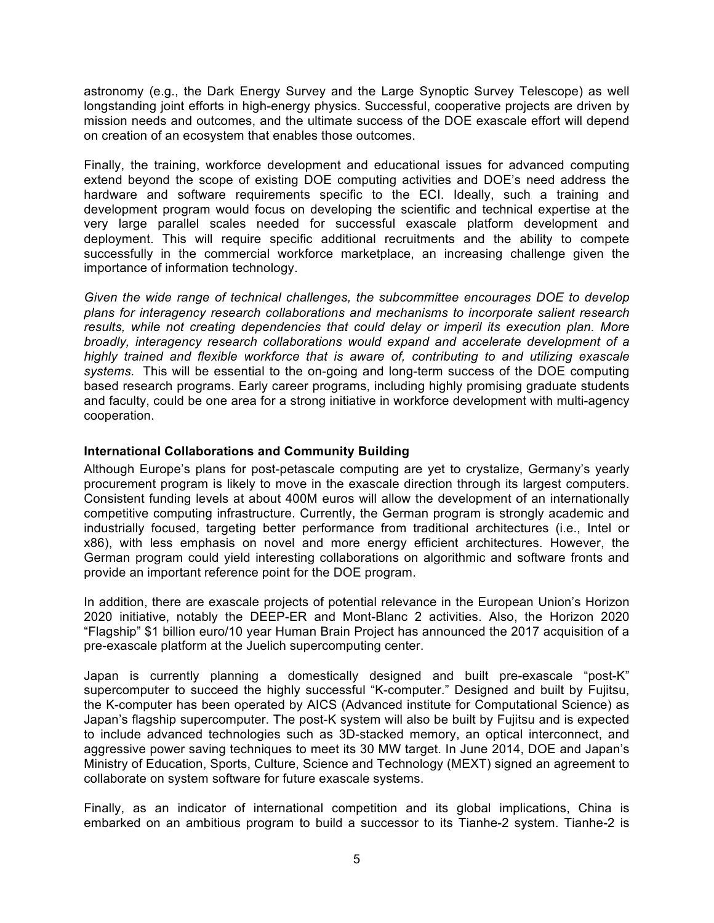astronomy (e.g., the Dark Energy Survey and the Large Synoptic Survey Telescope) as well longstanding joint efforts in high-energy physics. Successful, cooperative projects are driven by mission needs and outcomes, and the ultimate success of the DOE exascale effort will depend on creation of an ecosystem that enables those outcomes.

 Finally, the training, workforce development and educational issues for advanced computing hardware and software requirements specific to the ECI. Ideally, such a training and development program would focus on developing the scientific and technical expertise at the very large parallel scales needed for successful exascale platform development and deployment. This will require specific additional recruitments and the ability to compete successfully in the commercial workforce marketplace, an increasing challenge given the importance of information technology. extend beyond the scope of existing DOE computing activities and DOE's need address the

Given the wide range of technical challenges, the subcommittee encourages DOE to develop  *plans for interagency research collaborations and mechanisms to incorporate salient research results, while not creating dependencies that could delay or imperil its execution plan. More broadly, interagency research collaborations would expand and accelerate development of a highly trained and flexible workforce that is aware of, contributing to and utilizing exascale systems.* This will be essential to the on-going and long-term success of the DOE computing based research programs. Early career programs, including highly promising graduate students and faculty, could be one area for a strong initiative in workforce development with multi-agency cooperation.

### **International Collaborations and Community Building**

 Although Europe's plans for post-petascale computing are yet to crystalize, Germany's yearly procurement program is likely to move in the exascale direction through its largest computers. Consistent funding levels at about 400M euros will allow the development of an internationally competitive computing infrastructure. Currently, the German program is strongly academic and industrially focused, targeting better performance from traditional architectures (i.e., Intel or x86), with less emphasis on novel and more energy efficient architectures. However, the German program could yield interesting collaborations on algorithmic and software fronts and provide an important reference point for the DOE program.

 In addition, there are exascale projects of potential relevance in the European Union's Horizon 2020 initiative, notably the DEEP-ER and Mont-Blanc 2 activities. Also, the Horizon 2020 "Flagship" \$1 billion euro/10 year Human Brain Project has announced the 2017 acquisition of a pre-exascale platform at the Juelich supercomputing center.

 supercomputer to succeed the highly successful "K-computer." Designed and built by Fujitsu, the K-computer has been operated by AICS (Advanced institute for Computational Science) as Japan's flagship supercomputer. The post-K system will also be built by Fujitsu and is expected to include advanced technologies such as 3D-stacked memory, an optical interconnect, and aggressive power saving techniques to meet its 30 MW target. In June 2014, DOE and Japan's Ministry of Education, Sports, Culture, Science and Technology (MEXT) signed an agreement to collaborate on system software for future exascale systems. Japan is currently planning a domestically designed and built pre-exascale "post-K"

 Finally, as an indicator of international competition and its global implications, China is embarked on an ambitious program to build a successor to its Tianhe-2 system. Tianhe-2 is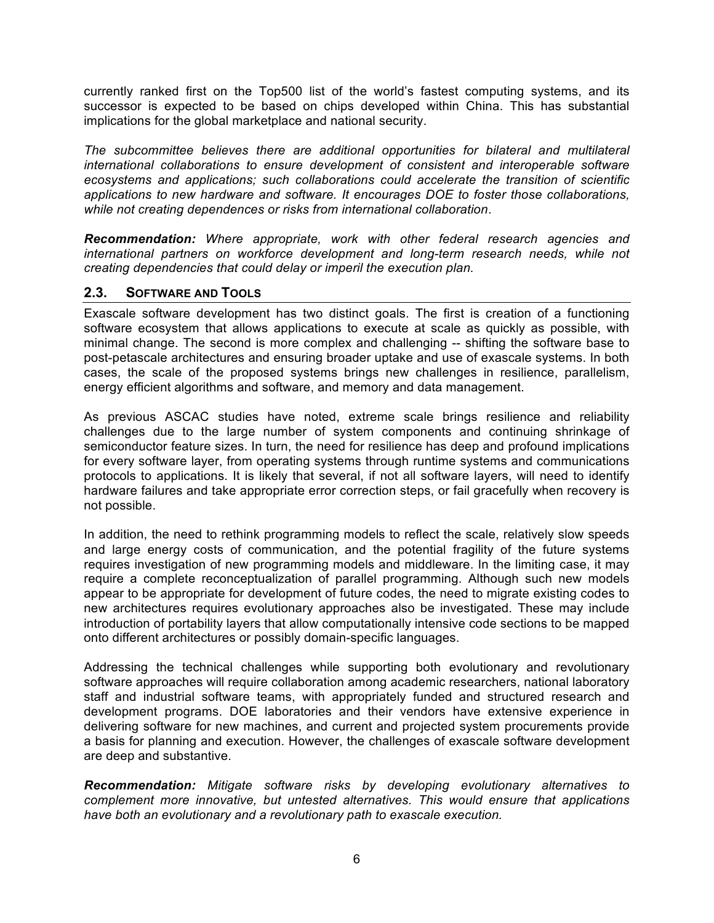currently ranked first on the Top500 list of the world's fastest computing systems, and its successor is expected to be based on chips developed within China. This has substantial implications for the global marketplace and national security.

The subcommittee believes there are additional opportunities for bilateral and multilateral  *international collaborations to ensure development of consistent and interoperable software ecosystems and applications; such collaborations could accelerate the transition of scientific applications to new hardware and software. It encourages DOE to foster those collaborations, while not creating dependences or risks from international collaboration*.

 *Recommendation: Where appropriate, work with other federal research agencies and*  international partners on workforce development and long-term research needs, while not  *creating dependencies that could delay or imperil the execution plan.* 

### **2.3. SOFTWARE AND TOOLS**

 Exascale software development has two distinct goals. The first is creation of a functioning software ecosystem that allows applications to execute at scale as quickly as possible, with minimal change. The second is more complex and challenging -- shifting the software base to post-petascale architectures and ensuring broader uptake and use of exascale systems. In both cases, the scale of the proposed systems brings new challenges in resilience, parallelism, energy efficient algorithms and software, and memory and data management.

 As previous ASCAC studies have noted, extreme scale brings resilience and reliability challenges due to the large number of system components and continuing shrinkage of semiconductor feature sizes. In turn, the need for resilience has deep and profound implications for every software layer, from operating systems through runtime systems and communications protocols to applications. It is likely that several, if not all software layers, will need to identify hardware failures and take appropriate error correction steps, or fail gracefully when recovery is not possible.

not possible.<br>In addition, the need to rethink programming models to reflect the scale, relatively slow speeds and large energy costs of communication, and the potential fragility of the future systems requires investigation of new programming models and middleware. In the limiting case, it may require a complete reconceptualization of parallel programming. Although such new models appear to be appropriate for development of future codes, the need to migrate existing codes to new architectures requires evolutionary approaches also be investigated. These may include introduction of portability layers that allow computationally intensive code sections to be mapped onto different architectures or possibly domain-specific languages.

 Addressing the technical challenges while supporting both evolutionary and revolutionary software approaches will require collaboration among academic researchers, national laboratory development programs. DOE laboratories and their vendors have extensive experience in delivering software for new machines, and current and projected system procurements provide a basis for planning and execution. However, the challenges of exascale software development staff and industrial software teams, with appropriately funded and structured research and are deep and substantive.

 *Recommendation: Mitigate software risks by developing evolutionary alternatives to complement more innovative, but untested alternatives. This would ensure that applications have both an evolutionary and a revolutionary path to exascale execution.*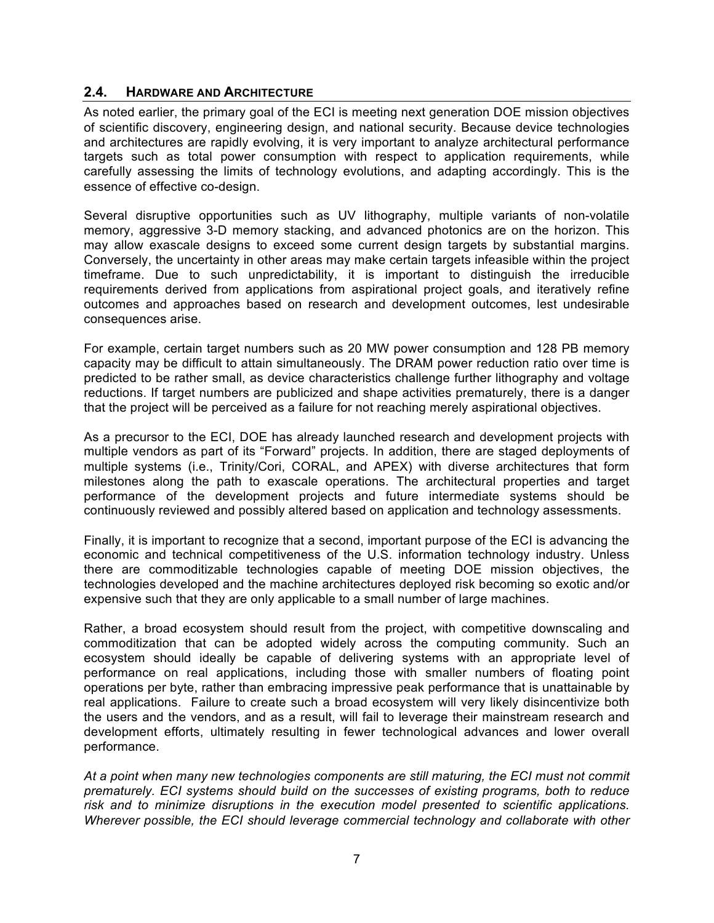### **2.4. HARDWARE AND ARCHITECTURE**

 As noted earlier, the primary goal of the ECI is meeting next generation DOE mission objectives of scientific discovery, engineering design, and national security. Because device technologies and architectures are rapidly evolving, it is very important to analyze architectural performance targets such as total power consumption with respect to application requirements, while carefully assessing the limits of technology evolutions, and adapting accordingly. This is the essence of effective co-design.

 Several disruptive opportunities such as UV lithography, multiple variants of non-volatile memory, aggressive 3-D memory stacking, and advanced photonics are on the horizon. This may allow exascale designs to exceed some current design targets by substantial margins. Conversely, the uncertainty in other areas may make certain targets infeasible within the project timeframe. Due to such unpredictability, it is important to distinguish the irreducible requirements derived from applications from aspirational project goals, and iteratively refine outcomes and approaches based on research and development outcomes, lest undesirable consequences arise.

 For example, certain target numbers such as 20 MW power consumption and 128 PB memory capacity may be difficult to attain simultaneously. The DRAM power reduction ratio over time is predicted to be rather small, as device characteristics challenge further lithography and voltage reductions. If target numbers are publicized and shape activities prematurely, there is a danger that the project will be perceived as a failure for not reaching merely aspirational objectives.

 As a precursor to the ECI, DOE has already launched research and development projects with multiple vendors as part of its "Forward" projects. In addition, there are staged deployments of multiple systems (i.e., Trinity/Cori, CORAL, and APEX) with diverse architectures that form milestones along the path to exascale operations. The architectural properties and target performance of the development projects and future intermediate systems should be continuously reviewed and possibly altered based on application and technology assessments.

 Finally, it is important to recognize that a second, important purpose of the ECI is advancing the economic and technical competitiveness of the U.S. information technology industry. Unless there are commoditizable technologies capable of meeting DOE mission objectives, the technologies developed and the machine architectures deployed risk becoming so exotic and/or expensive such that they are only applicable to a small number of large machines.

 Rather, a broad ecosystem should result from the project, with competitive downscaling and commoditization that can be adopted widely across the computing community. Such an ecosystem should ideally be capable of delivering systems with an appropriate level of performance on real applications, including those with smaller numbers of floating point operations per byte, rather than embracing impressive peak performance that is unattainable by real applications. Failure to create such a broad ecosystem will very likely disincentivize both the users and the vendors, and as a result, will fail to leverage their mainstream research and development efforts, ultimately resulting in fewer technological advances and lower overall performance.

 *At a point when many new technologies components are still maturing, the ECI must not commit prematurely. ECI systems should build on the successes of existing programs, both to reduce risk and to minimize disruptions in the execution model presented to scientific applications. Wherever possible, the ECI should leverage commercial technology and collaborate with other*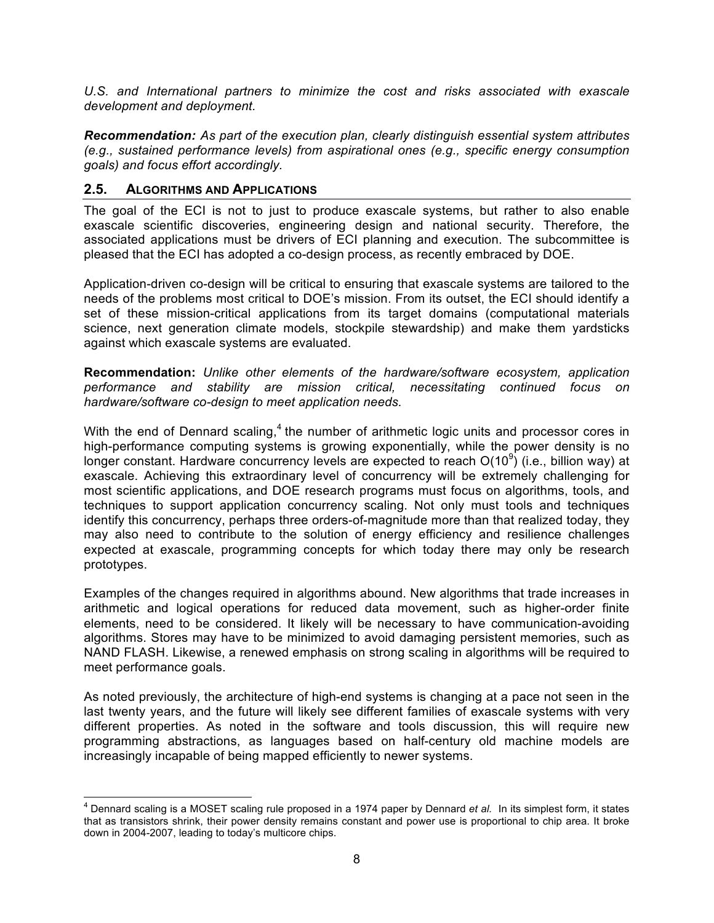U.S. and International partners to minimize the cost and risks associated with exascale *development and deployment.* 

 *Recommendation: As part of the execution plan, clearly distinguish essential system attributes (e.g., sustained performance levels) from aspirational ones (e.g., specific energy consumption goals) and focus effort accordingly.* 

### **2.5. ALGORITHMS AND APPLICATIONS**

<u>.</u>

 The goal of the ECI is not to just to produce exascale systems, but rather to also enable exascale scientific discoveries, engineering design and national security. Therefore, the associated applications must be drivers of ECI planning and execution. The subcommittee is pleased that the ECI has adopted a co-design process, as recently embraced by DOE.

 Application-driven co-design will be critical to ensuring that exascale systems are tailored to the needs of the problems most critical to DOE's mission. From its outset, the ECI should identify a set of these mission-critical applications from its target domains (computational materials science, next generation climate models, stockpile stewardship) and make them yardsticks against which exascale systems are evaluated.

 **Recommendation:** *Unlike other elements of the hardware/software ecosystem, application performance and stability are mission critical, necessitating continued focus on hardware/software co-design to meet application needs.* 

With the end of Dennard scaling, $4$  the number of arithmetic logic units and processor cores in high-performance computing systems is growing exponentially, while the power density is no longer constant. Hardware concurrency levels are expected to reach  $O(10^9)$  (i.e., billion way) at exascale. Achieving this extraordinary level of concurrency will be extremely challenging for most scientific applications, and DOE research programs must focus on algorithms, tools, and techniques to support application concurrency scaling. Not only must tools and techniques identify this concurrency, perhaps three orders-of-magnitude more than that realized today, they may also need to contribute to the solution of energy efficiency and resilience challenges expected at exascale, programming concepts for which today there may only be research prototypes.

 Examples of the changes required in algorithms abound. New algorithms that trade increases in arithmetic and logical operations for reduced data movement, such as higher-order finite elements, need to be considered. It likely will be necessary to have communication-avoiding algorithms. Stores may have to be minimized to avoid damaging persistent memories, such as NAND FLASH. Likewise, a renewed emphasis on strong scaling in algorithms will be required to meet performance goals.

 As noted previously, the architecture of high-end systems is changing at a pace not seen in the last twenty years, and the future will likely see different families of exascale systems with very different properties. As noted in the software and tools discussion, this will require new programming abstractions, as languages based on half-century old machine models are increasingly incapable of being mapped efficiently to newer systems.

 4 Dennard scaling is a MOSET scaling rule proposed in a 1974 paper by Dennard *et al.* In its simplest form, it states that as transistors shrink, their power density remains constant and power use is proportional to chip area. It broke down in 2004-2007, leading to today's multicore chips.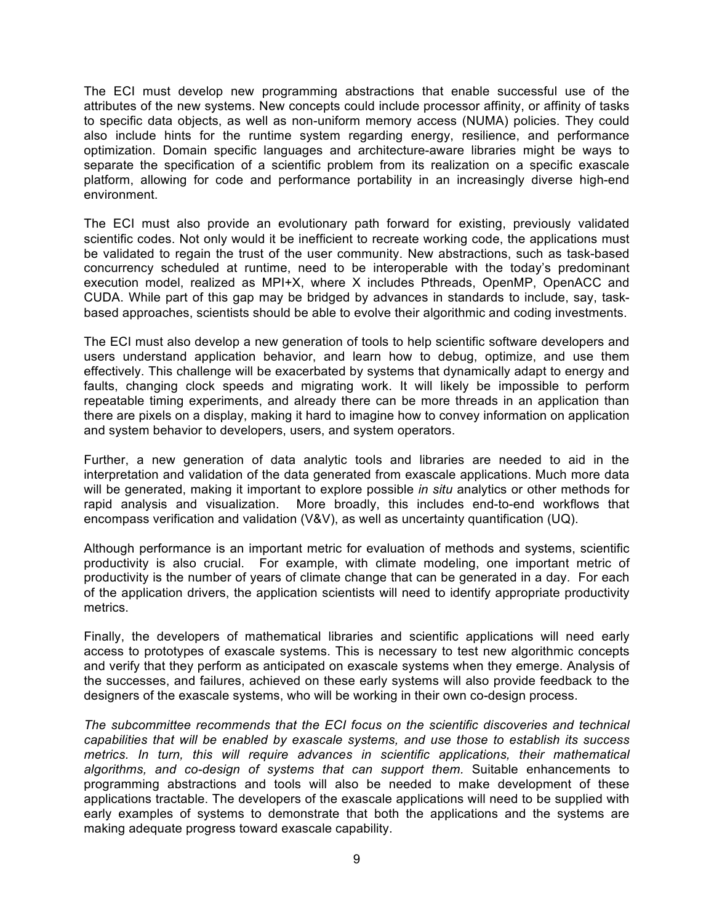The ECI must develop new programming abstractions that enable successful use of the attributes of the new systems. New concepts could include processor affinity, or affinity of tasks to specific data objects, as well as non-uniform memory access (NUMA) policies. They could also include hints for the runtime system regarding energy, resilience, and performance optimization. Domain specific languages and architecture-aware libraries might be ways to separate the specification of a scientific problem from its realization on a specific exascale platform, allowing for code and performance portability in an increasingly diverse high-end environment.

 The ECI must also provide an evolutionary path forward for existing, previously validated scientific codes. Not only would it be inefficient to recreate working code, the applications must be validated to regain the trust of the user community. New abstractions, such as task-based concurrency scheduled at runtime, need to be interoperable with the today's predominant execution model, realized as MPI+X, where X includes Pthreads, OpenMP, OpenACC and CUDA. While part of this gap may be bridged by advances in standards to include, say, task-based approaches, scientists should be able to evolve their algorithmic and coding investments.

 The ECI must also develop a new generation of tools to help scientific software developers and users understand application behavior, and learn how to debug, optimize, and use them effectively. This challenge will be exacerbated by systems that dynamically adapt to energy and faults, changing clock speeds and migrating work. It will likely be impossible to perform repeatable timing experiments, and already there can be more threads in an application than there are pixels on a display, making it hard to imagine how to convey information on application and system behavior to developers, users, and system operators.

 Further, a new generation of data analytic tools and libraries are needed to aid in the interpretation and validation of the data generated from exascale applications. Much more data will be generated, making it important to explore possible *in situ* analytics or other methods for rapid analysis and visualization. More broadly, this includes end-to-end workflows that encompass verification and validation (V&V), as well as uncertainty quantification (UQ).

 Although performance is an important metric for evaluation of methods and systems, scientific productivity is also crucial. For example, with climate modeling, one important metric of productivity is the number of years of climate change that can be generated in a day. For each of the application drivers, the application scientists will need to identify appropriate productivity metrics.

 Finally, the developers of mathematical libraries and scientific applications will need early access to prototypes of exascale systems. This is necessary to test new algorithmic concepts and verify that they perform as anticipated on exascale systems when they emerge. Analysis of the successes, and failures, achieved on these early systems will also provide feedback to the designers of the exascale systems, who will be working in their own co-design process.

 *The subcommittee recommends that the ECI focus on the scientific discoveries and technical capabilities that will be enabled by exascale systems, and use those to establish its success algorithms, and co-design of systems that can support them.* Suitable enhancements to programming abstractions and tools will also be needed to make development of these applications tractable. The developers of the exascale applications will need to be supplied with early examples of systems to demonstrate that both the applications and the systems are making adequate progress toward exascale capability. *metrics. In turn, this will require advances in scientific applications, their mathematical*